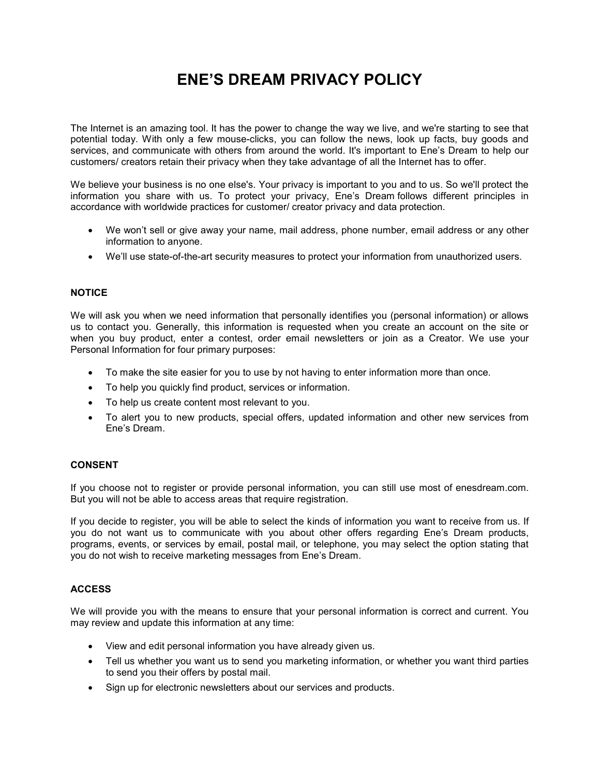# ENE'S DREAM PRIVACY POLICY

The Internet is an amazing tool. It has the power to change the way we live, and we're starting to see that potential today. With only a few mouse-clicks, you can follow the news, look up facts, buy goods and services, and communicate with others from around the world. It's important to Ene's Dream to help our customers/ creators retain their privacy when they take advantage of all the Internet has to offer.

We believe your business is no one else's. Your privacy is important to you and to us. So we'll protect the information you share with us. To protect your privacy, Ene's Dream follows different principles in accordance with worldwide practices for customer/ creator privacy and data protection.

- We won't sell or give away your name, mail address, phone number, email address or any other information to anyone.
- We'll use state-of-the-art security measures to protect your information from unauthorized users.

# **NOTICE**

We will ask you when we need information that personally identifies you (personal information) or allows us to contact you. Generally, this information is requested when you create an account on the site or when you buy product, enter a contest, order email newsletters or join as a Creator. We use your Personal Information for four primary purposes:

- To make the site easier for you to use by not having to enter information more than once.
- To help you quickly find product, services or information.
- To help us create content most relevant to you.
- To alert you to new products, special offers, updated information and other new services from Ene's Dream.

# CONSENT

If you choose not to register or provide personal information, you can still use most of enesdream.com. But you will not be able to access areas that require registration.

If you decide to register, you will be able to select the kinds of information you want to receive from us. If you do not want us to communicate with you about other offers regarding Ene's Dream products, programs, events, or services by email, postal mail, or telephone, you may select the option stating that you do not wish to receive marketing messages from Ene's Dream.

### ACCESS

We will provide you with the means to ensure that your personal information is correct and current. You may review and update this information at any time:

- View and edit personal information you have already given us.
- Tell us whether you want us to send you marketing information, or whether you want third parties to send you their offers by postal mail.
- Sign up for electronic newsletters about our services and products.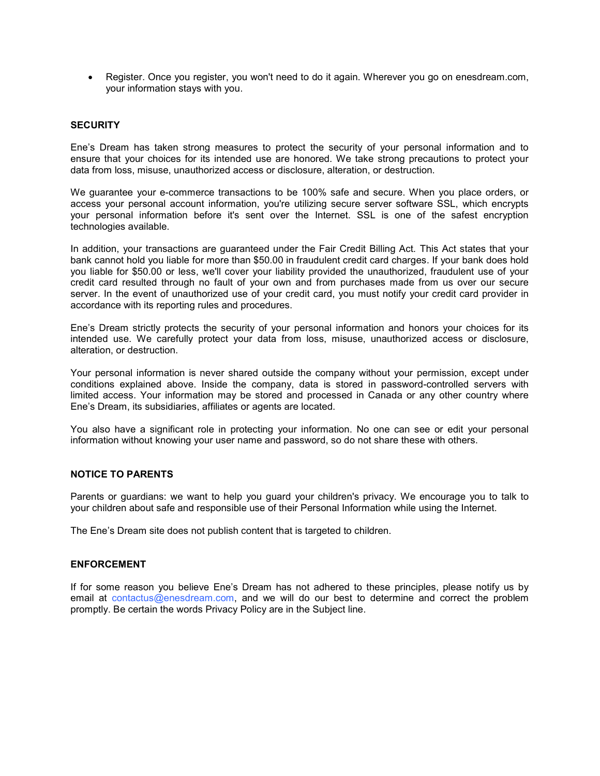Register. Once you register, you won't need to do it again. Wherever you go on enesdream.com, your information stays with you.

#### **SECURITY**

Ene's Dream has taken strong measures to protect the security of your personal information and to ensure that your choices for its intended use are honored. We take strong precautions to protect your data from loss, misuse, unauthorized access or disclosure, alteration, or destruction.

We guarantee your e-commerce transactions to be 100% safe and secure. When you place orders, or access your personal account information, you're utilizing secure server software SSL, which encrypts your personal information before it's sent over the Internet. SSL is one of the safest encryption technologies available.

In addition, your transactions are guaranteed under the Fair Credit Billing Act. This Act states that your bank cannot hold you liable for more than \$50.00 in fraudulent credit card charges. If your bank does hold you liable for \$50.00 or less, we'll cover your liability provided the unauthorized, fraudulent use of your credit card resulted through no fault of your own and from purchases made from us over our secure server. In the event of unauthorized use of your credit card, you must notify your credit card provider in accordance with its reporting rules and procedures.

Ene's Dream strictly protects the security of your personal information and honors your choices for its intended use. We carefully protect your data from loss, misuse, unauthorized access or disclosure, alteration, or destruction.

Your personal information is never shared outside the company without your permission, except under conditions explained above. Inside the company, data is stored in password-controlled servers with limited access. Your information may be stored and processed in Canada or any other country where Ene's Dream, its subsidiaries, affiliates or agents are located.

You also have a significant role in protecting your information. No one can see or edit your personal information without knowing your user name and password, so do not share these with others.

# NOTICE TO PARENTS

Parents or guardians: we want to help you guard your children's privacy. We encourage you to talk to your children about safe and responsible use of their Personal Information while using the Internet.

The Ene's Dream site does not publish content that is targeted to children.

#### ENFORCEMENT

If for some reason you believe Ene's Dream has not adhered to these principles, please notify us by email at contactus@enesdream.com, and we will do our best to determine and correct the problem promptly. Be certain the words Privacy Policy are in the Subject line.